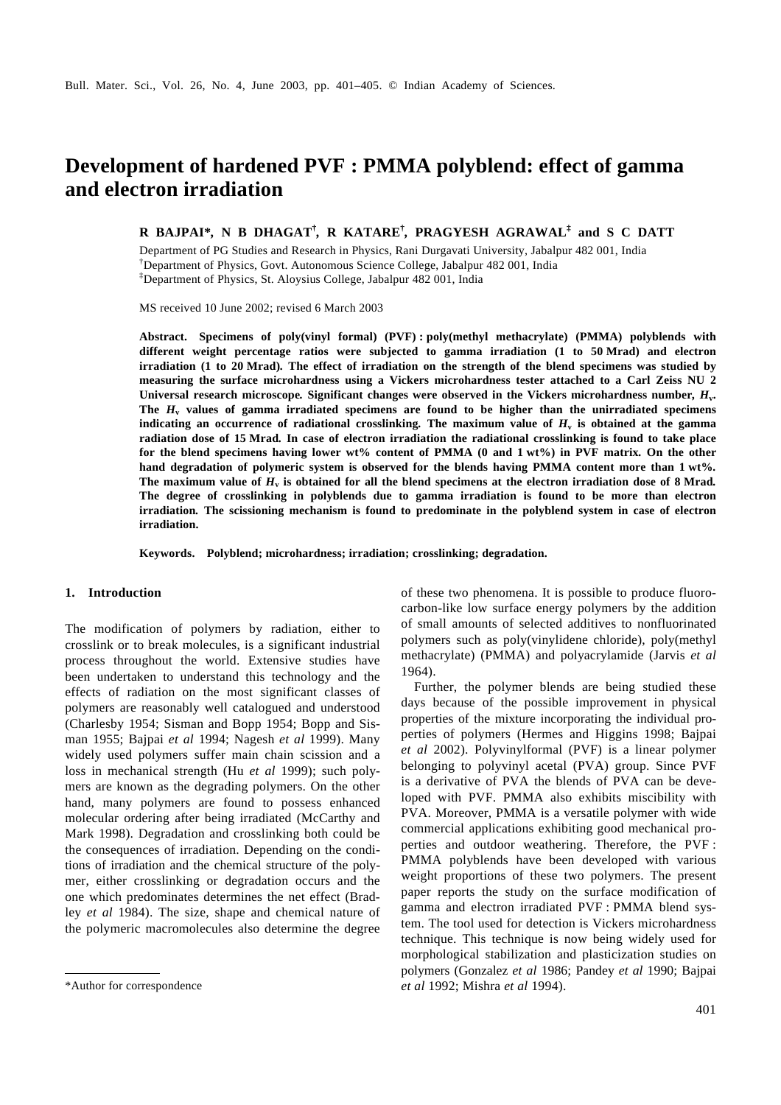# **Development of hardened PVF : PMMA polyblend: effect of gamma and electron irradiation**

**R BAJPAI\****,* **N B DHAGAT†** *,* **R KATARE†** *,* **PRAGYESH AGRAWAL‡ and S C DATT**

Department of PG Studies and Research in Physics, Rani Durgavati University, Jabalpur 482 001, India †Department of Physics, Govt. Autonomous Science College, Jabalpur 482 001, India ‡Department of Physics, St. Aloysius College, Jabalpur 482 001, India

MS received 10 June 2002; revised 6 March 2003

**Abstract. Specimens of poly(vinyl formal) (PVF) : poly(methyl methacrylate) (PMMA) polyblends with different weight percentage ratios were subjected to gamma irradiation (1 to 50 Mrad) and electron irradiation (1 to 20 Mrad)***.* **The effect of irradiation on the strength of the blend specimens was studied by measuring the surface microhardness using a Vickers microhardness tester attached to a Carl Zeiss NU 2 Universal research microscope***.* **Significant changes were observed in the Vickers microhardness number***, H***<sup>v</sup> . The** *H***<sup>v</sup> values of gamma irradiated specimens are found to be higher than the unirradiated specimens indicating an occurrence of radiational crosslinking***.* **The maximum value of** *H***<sup>v</sup> is obtained at the gamma radiation dose of 15 Mrad***.* **In case of electron irradiation the radiational crosslinking is found to take place for the blend specimens having lower wt% content of PMMA (0 and 1 wt%) in PVF matrix***.* **On the other hand degradation of polymeric system is observed for the blends having PMMA content more than 1 wt%***.* **The maximum value of** *H***<sup>v</sup> is obtained for all the blend specimens at the electron irradiation dose of 8 Mrad***.* **The degree of crosslinking in polyblends due to gamma irradiation is found to be more than electron irradiation***.* **The scissioning mechanism is found to predominate in the polyblend system in case of electron irradiation.**

**Keywords. Polyblend; microhardness; irradiation; crosslinking; degradation.**

#### **1. Introduction**

The modification of polymers by radiation, either to crosslink or to break molecules, is a significant industrial process throughout the world. Extensive studies have been undertaken to understand this technology and the effects of radiation on the most significant classes of polymers are reasonably well catalogued and understood (Charlesby 1954; Sisman and Bopp 1954; Bopp and Sisman 1955; Bajpai *et al* 1994; Nagesh *et al* 1999). Many widely used polymers suffer main chain scission and a loss in mechanical strength (Hu *et al* 1999); such polymers are known as the degrading polymers. On the other hand, many polymers are found to possess enhanced molecular ordering after being irradiated (McCarthy and Mark 1998). Degradation and crosslinking both could be the consequences of irradiation. Depending on the conditions of irradiation and the chemical structure of the polymer, either crosslinking or degradation occurs and the one which predominates determines the net effect (Bradley *et al* 1984). The size, shape and chemical nature of the polymeric macromolecules also determine the degree

of these two phenomena. It is possible to produce fluorocarbon-like low surface energy polymers by the addition of small amounts of selected additives to nonfluorinated polymers such as poly(vinylidene chloride), poly(methyl methacrylate) (PMMA) and polyacrylamide (Jarvis *et al* 1964).

Further, the polymer blends are being studied these days because of the possible improvement in physical properties of the mixture incorporating the individual properties of polymers (Hermes and Higgins 1998; Bajpai *et al* 2002). Polyvinylformal (PVF) is a linear polymer belonging to polyvinyl acetal (PVA) group. Since PVF is a derivative of PVA the blends of PVA can be developed with PVF. PMMA also exhibits miscibility with PVA. Moreover, PMMA is a versatile polymer with wide commercial applications exhibiting good mechanical properties and outdoor weathering. Therefore, the PVF : PMMA polyblends have been developed with various weight proportions of these two polymers. The present paper reports the study on the surface modification of gamma and electron irradiated PVF : PMMA blend system. The tool used for detection is Vickers microhardness technique. This technique is now being widely used for morphological stabilization and plasticization studies on polymers (Gonzalez *et al* 1986; Pandey *et al* 1990; Bajpai \*Author for correspondence *et al* 1992; Mishra *et al* 1994).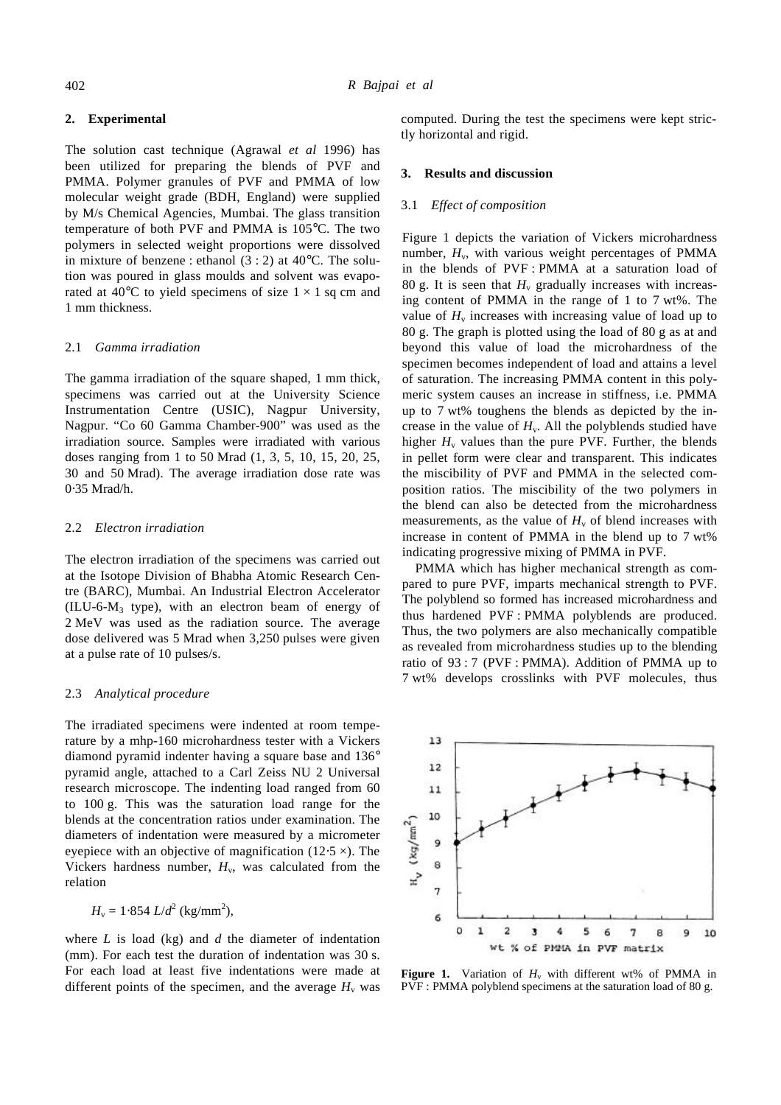# **2. Experimental**

The solution cast technique (Agrawal *et al* 1996) has been utilized for preparing the blends of PVF and PMMA. Polymer granules of PVF and PMMA of low molecular weight grade (BDH, England) were supplied by M/s Chemical Agencies, Mumbai. The glass transition temperature of both PVF and PMMA is 105°C. The two polymers in selected weight proportions were dissolved in mixture of benzene : ethanol  $(3:2)$  at 40 $^{\circ}$ C. The solution was poured in glass moulds and solvent was evaporated at 40 $^{\circ}$ C to yield specimens of size  $1 \times 1$  sq cm and 1 mm thickness.

#### 2.1 *Gamma irradiation*

The gamma irradiation of the square shaped, 1 mm thick, specimens was carried out at the University Science Instrumentation Centre (USIC), Nagpur University, Nagpur. "Co 60 Gamma Chamber-900" was used as the irradiation source. Samples were irradiated with various doses ranging from 1 to 50 Mrad (1, 3, 5, 10, 15, 20, 25, 30 and 50 Mrad). The average irradiation dose rate was 0⋅35 Mrad/h.

## 2.2 *Electron irradiation*

The electron irradiation of the specimens was carried out at the Isotope Division of Bhabha Atomic Research Centre (BARC), Mumbai. An Industrial Electron Accelerator  $(ILU-6-M<sub>3</sub>$  type), with an electron beam of energy of 2 MeV was used as the radiation source. The average dose delivered was 5 Mrad when 3,250 pulses were given at a pulse rate of 10 pulses/s.

#### 2.3 *Analytical procedure*

The irradiated specimens were indented at room temperature by a mhp-160 microhardness tester with a Vickers diamond pyramid indenter having a square base and 136° pyramid angle, attached to a Carl Zeiss NU 2 Universal research microscope. The indenting load ranged from 60 to 100 g. This was the saturation load range for the blends at the concentration ratios under examination. The diameters of indentation were measured by a micrometer eyepiece with an objective of magnification (12⋅5  $\times$ ). The Vickers hardness number,  $H_v$ , was calculated from the relation

 $H_v = 1.854$  *L*/*d*<sup>2</sup> (kg/mm<sup>2</sup>),

where *L* is load (kg) and *d* the diameter of indentation (mm). For each test the duration of indentation was 30 s. For each load at least five indentations were made at different points of the specimen, and the average  $H<sub>v</sub>$  was computed. During the test the specimens were kept strictly horizontal and rigid.

#### **3. Results and discussion**

#### 3.1 *Effect of composition*

Figure 1 depicts the variation of Vickers microhardness number,  $H_v$ , with various weight percentages of PMMA in the blends of PVF : PMMA at a saturation load of 80 g. It is seen that  $H_v$  gradually increases with increasing content of PMMA in the range of 1 to 7 wt%. The value of  $H<sub>v</sub>$  increases with increasing value of load up to 80 g. The graph is plotted using the load of 80 g as at and beyond this value of load the microhardness of the specimen becomes independent of load and attains a level of saturation. The increasing PMMA content in this polymeric system causes an increase in stiffness, i.e. PMMA up to 7 wt% toughens the blends as depicted by the increase in the value of  $H_v$ . All the polyblends studied have higher  $H<sub>v</sub>$  values than the pure PVF. Further, the blends in pellet form were clear and transparent. This indicates the miscibility of PVF and PMMA in the selected composition ratios. The miscibility of the two polymers in the blend can also be detected from the microhardness measurements, as the value of  $H<sub>v</sub>$  of blend increases with increase in content of PMMA in the blend up to 7 wt% indicating progressive mixing of PMMA in PVF.

PMMA which has higher mechanical strength as compared to pure PVF, imparts mechanical strength to PVF. The polyblend so formed has increased microhardness and thus hardened PVF : PMMA polyblends are produced. Thus, the two polymers are also mechanically compatible as revealed from microhardness studies up to the blending ratio of 93 : 7 (PVF : PMMA). Addition of PMMA up to 7 wt% develops crosslinks with PVF molecules, thus



**Figure 1.** Variation of  $H_v$  with different wt% of PMMA in PVF : PMMA polyblend specimens at the saturation load of 80 g.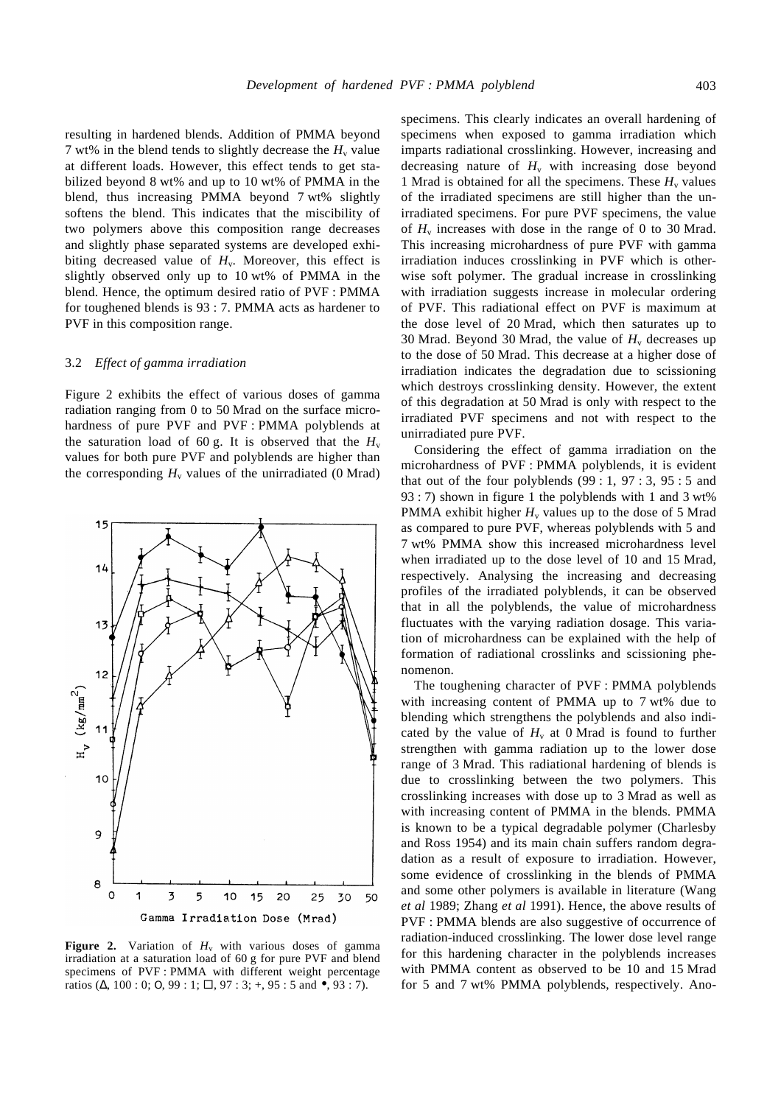resulting in hardened blends. Addition of PMMA beyond 7 wt% in the blend tends to slightly decrease the  $H_v$  value at different loads. However, this effect tends to get stabilized beyond 8 wt% and up to 10 wt% of PMMA in the blend, thus increasing PMMA beyond 7 wt% slightly softens the blend. This indicates that the miscibility of two polymers above this composition range decreases and slightly phase separated systems are developed exhibiting decreased value of  $H_v$ . Moreover, this effect is slightly observed only up to 10 wt% of PMMA in the blend. Hence, the optimum desired ratio of PVF : PMMA for toughened blends is 93 : 7. PMMA acts as hardener to PVF in this composition range.

#### 3.2 *Effect of gamma irradiation*

Figure 2 exhibits the effect of various doses of gamma radiation ranging from 0 to 50 Mrad on the surface microhardness of pure PVF and PVF : PMMA polyblends at the saturation load of 60 g. It is observed that the  $H_v$ values for both pure PVF and polyblends are higher than the corresponding  $H_v$  values of the unirradiated (0 Mrad)



**Figure 2.** Variation of  $H_v$  with various doses of gamma irradiation at a saturation load of 60 g for pure PVF and blend specimens of PVF : PMMA with different weight percentage ratios ( $\Delta$ , 100 : 0; O, 99 : 1;  $\Box$ , 97 : 3; +, 95 : 5 and  $\bullet$ , 93 : 7).

specimens. This clearly indicates an overall hardening of specimens when exposed to gamma irradiation which imparts radiational crosslinking. However, increasing and decreasing nature of  $H<sub>v</sub>$  with increasing dose beyond 1 Mrad is obtained for all the specimens. These  $H<sub>v</sub>$  values of the irradiated specimens are still higher than the unirradiated specimens. For pure PVF specimens, the value of  $H<sub>v</sub>$  increases with dose in the range of 0 to 30 Mrad. This increasing microhardness of pure PVF with gamma irradiation induces crosslinking in PVF which is otherwise soft polymer. The gradual increase in crosslinking with irradiation suggests increase in molecular ordering of PVF. This radiational effect on PVF is maximum at the dose level of 20 Mrad, which then saturates up to 30 Mrad. Beyond 30 Mrad, the value of  $H<sub>v</sub>$  decreases up to the dose of 50 Mrad. This decrease at a higher dose of irradiation indicates the degradation due to scissioning which destroys crosslinking density. However, the extent of this degradation at 50 Mrad is only with respect to the irradiated PVF specimens and not with respect to the unirradiated pure PVF.

Considering the effect of gamma irradiation on the microhardness of PVF : PMMA polyblends, it is evident that out of the four polyblends  $(99:1, 97:3, 95:5)$  and 93 : 7) shown in figure 1 the polyblends with 1 and 3 wt% PMMA exhibit higher  $H_v$  values up to the dose of 5 Mrad as compared to pure PVF, whereas polyblends with 5 and 7 wt% PMMA show this increased microhardness level when irradiated up to the dose level of 10 and 15 Mrad, respectively. Analysing the increasing and decreasing profiles of the irradiated polyblends, it can be observed that in all the polyblends, the value of microhardness fluctuates with the varying radiation dosage. This variation of microhardness can be explained with the help of formation of radiational crosslinks and scissioning phenomenon.

The toughening character of PVF : PMMA polyblends with increasing content of PMMA up to 7 wt% due to blending which strengthens the polyblends and also indicated by the value of  $H_v$  at 0 Mrad is found to further strengthen with gamma radiation up to the lower dose range of 3 Mrad. This radiational hardening of blends is due to crosslinking between the two polymers. This crosslinking increases with dose up to 3 Mrad as well as with increasing content of PMMA in the blends. PMMA is known to be a typical degradable polymer (Charlesby and Ross 1954) and its main chain suffers random degradation as a result of exposure to irradiation. However, some evidence of crosslinking in the blends of PMMA and some other polymers is available in literature (Wang *et al* 1989; Zhang *et al* 1991). Hence, the above results of PVF : PMMA blends are also suggestive of occurrence of radiation-induced crosslinking. The lower dose level range for this hardening character in the polyblends increases with PMMA content as observed to be 10 and 15 Mrad for 5 and 7 wt% PMMA polyblends, respectively. Ano-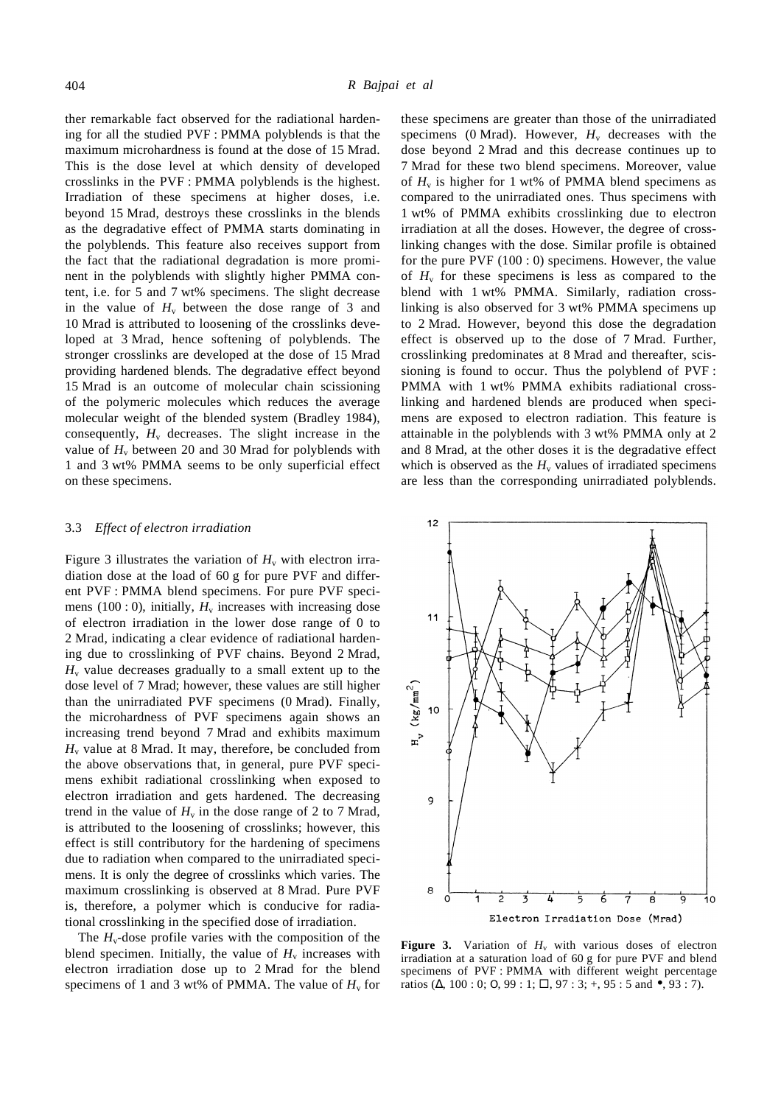ther remarkable fact observed for the radiational hardening for all the studied PVF : PMMA polyblends is that the maximum microhardness is found at the dose of 15 Mrad. This is the dose level at which density of developed crosslinks in the PVF : PMMA polyblends is the highest. Irradiation of these specimens at higher doses, i.e. beyond 15 Mrad, destroys these crosslinks in the blends as the degradative effect of PMMA starts dominating in the polyblends. This feature also receives support from the fact that the radiational degradation is more prominent in the polyblends with slightly higher PMMA content, i.e. for 5 and 7 wt% specimens. The slight decrease in the value of  $H_v$  between the dose range of 3 and 10 Mrad is attributed to loosening of the crosslinks developed at 3 Mrad, hence softening of polyblends. The stronger crosslinks are developed at the dose of 15 Mrad providing hardened blends. The degradative effect beyond 15 Mrad is an outcome of molecular chain scissioning of the polymeric molecules which reduces the average molecular weight of the blended system (Bradley 1984), consequently,  $H_v$  decreases. The slight increase in the value of  $H_v$  between 20 and 30 Mrad for polyblends with 1 and 3 wt% PMMA seems to be only superficial effect on these specimens.

## 3.3 *Effect of electron irradiation*

Figure 3 illustrates the variation of  $H_v$  with electron irradiation dose at the load of 60 g for pure PVF and different PVF : PMMA blend specimens. For pure PVF specimens (100 : 0), initially,  $H<sub>v</sub>$  increases with increasing dose of electron irradiation in the lower dose range of 0 to 2 Mrad, indicating a clear evidence of radiational hardening due to crosslinking of PVF chains. Beyond 2 Mrad,  $H<sub>v</sub>$  value decreases gradually to a small extent up to the dose level of 7 Mrad; however, these values are still higher than the unirradiated PVF specimens (0 Mrad). Finally, the microhardness of PVF specimens again shows an increasing trend beyond 7 Mrad and exhibits maximum  $H<sub>v</sub>$  value at 8 Mrad. It may, therefore, be concluded from the above observations that, in general, pure PVF specimens exhibit radiational crosslinking when exposed to electron irradiation and gets hardened. The decreasing trend in the value of  $H<sub>v</sub>$  in the dose range of 2 to 7 Mrad, is attributed to the loosening of crosslinks; however, this effect is still contributory for the hardening of specimens due to radiation when compared to the unirradiated specimens. It is only the degree of crosslinks which varies. The maximum crosslinking is observed at 8 Mrad. Pure PVF is, therefore, a polymer which is conducive for radiational crosslinking in the specified dose of irradiation.

The  $H_v$ -dose profile varies with the composition of the blend specimen. Initially, the value of  $H<sub>v</sub>$  increases with electron irradiation dose up to 2 Mrad for the blend specimens of 1 and 3 wt% of PMMA. The value of  $H_v$  for these specimens are greater than those of the unirradiated specimens (0 Mrad). However,  $H_v$  decreases with the dose beyond 2 Mrad and this decrease continues up to 7 Mrad for these two blend specimens. Moreover, value of  $H<sub>v</sub>$  is higher for 1 wt% of PMMA blend specimens as compared to the unirradiated ones. Thus specimens with 1 wt% of PMMA exhibits crosslinking due to electron irradiation at all the doses. However, the degree of crosslinking changes with the dose. Similar profile is obtained for the pure  $PVF (100:0)$  specimens. However, the value of  $H_v$  for these specimens is less as compared to the blend with 1 wt% PMMA. Similarly, radiation crosslinking is also observed for 3 wt% PMMA specimens up to 2 Mrad. However, beyond this dose the degradation effect is observed up to the dose of 7 Mrad. Further, crosslinking predominates at 8 Mrad and thereafter, scissioning is found to occur. Thus the polyblend of PVF : PMMA with 1 wt% PMMA exhibits radiational crosslinking and hardened blends are produced when specimens are exposed to electron radiation. This feature is attainable in the polyblends with 3 wt% PMMA only at 2 and 8 Mrad, at the other doses it is the degradative effect which is observed as the  $H_v$  values of irradiated specimens are less than the corresponding unirradiated polyblends.



**Figure 3.** Variation of  $H_v$  with various doses of electron irradiation at a saturation load of 60 g for pure PVF and blend specimens of PVF : PMMA with different weight percentage ratios ( $\Delta$ , 100 : 0; O, 99 : 1;  $\Box$ , 97 : 3; +, 95 : 5 and  $\bullet$ , 93 : 7).